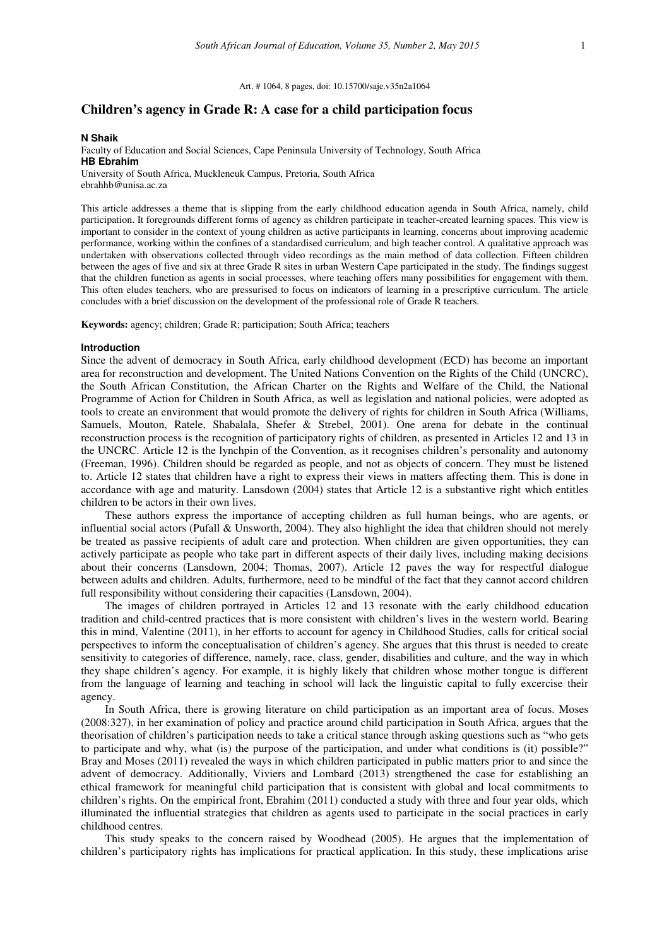Art. # 1064, 8 pages, doi: 10.15700/saje.v35n2a1064

# **Children's agency in Grade R: A case for a child participation focus**

## **N Shaik**

Faculty of Education and Social Sciences, Cape Peninsula University of Technology, South Africa **HB Ebrahim** 

University of South Africa, Muckleneuk Campus, Pretoria, South Africa ebrahhb@unisa.ac.za

This article addresses a theme that is slipping from the early childhood education agenda in South Africa, namely, child participation. It foregrounds different forms of agency as children participate in teacher-created learning spaces. This view is important to consider in the context of young children as active participants in learning, concerns about improving academic performance, working within the confines of a standardised curriculum, and high teacher control. A qualitative approach was undertaken with observations collected through video recordings as the main method of data collection. Fifteen children between the ages of five and six at three Grade R sites in urban Western Cape participated in the study. The findings suggest that the children function as agents in social processes, where teaching offers many possibilities for engagement with them. This often eludes teachers, who are pressurised to focus on indicators of learning in a prescriptive curriculum. The article concludes with a brief discussion on the development of the professional role of Grade R teachers.

**Keywords:** agency; children; Grade R; participation; South Africa; teachers

#### **Introduction**

Since the advent of democracy in South Africa, early childhood development (ECD) has become an important area for reconstruction and development. The United Nations Convention on the Rights of the Child (UNCRC), the South African Constitution, the African Charter on the Rights and Welfare of the Child, the National Programme of Action for Children in South Africa, as well as legislation and national policies, were adopted as tools to create an environment that would promote the delivery of rights for children in South Africa (Williams, Samuels, Mouton, Ratele, Shabalala, Shefer & Strebel, 2001). One arena for debate in the continual reconstruction process is the recognition of participatory rights of children, as presented in Articles 12 and 13 in the UNCRC. Article 12 is the lynchpin of the Convention, as it recognises children's personality and autonomy (Freeman, 1996). Children should be regarded as people, and not as objects of concern. They must be listened to. Article 12 states that children have a right to express their views in matters affecting them. This is done in accordance with age and maturity. Lansdown (2004) states that Article 12 is a substantive right which entitles children to be actors in their own lives.

These authors express the importance of accepting children as full human beings, who are agents, or influential social actors (Pufall & Unsworth, 2004). They also highlight the idea that children should not merely be treated as passive recipients of adult care and protection. When children are given opportunities, they can actively participate as people who take part in different aspects of their daily lives, including making decisions about their concerns (Lansdown, 2004; Thomas, 2007). Article 12 paves the way for respectful dialogue between adults and children. Adults, furthermore, need to be mindful of the fact that they cannot accord children full responsibility without considering their capacities (Lansdown, 2004).

The images of children portrayed in Articles 12 and 13 resonate with the early childhood education tradition and child-centred practices that is more consistent with children's lives in the western world. Bearing this in mind, Valentine (2011), in her efforts to account for agency in Childhood Studies, calls for critical social perspectives to inform the conceptualisation of children's agency. She argues that this thrust is needed to create sensitivity to categories of difference, namely, race, class, gender, disabilities and culture, and the way in which they shape children's agency. For example, it is highly likely that children whose mother tongue is different from the language of learning and teaching in school will lack the linguistic capital to fully excercise their agency.

In South Africa, there is growing literature on child participation as an important area of focus. Moses (2008:327), in her examination of policy and practice around child participation in South Africa, argues that the theorisation of children's participation needs to take a critical stance through asking questions such as "who gets to participate and why, what (is) the purpose of the participation, and under what conditions is (it) possible?" Bray and Moses (2011) revealed the ways in which children participated in public matters prior to and since the advent of democracy. Additionally, Viviers and Lombard (2013) strengthened the case for establishing an ethical framework for meaningful child participation that is consistent with global and local commitments to children's rights. On the empirical front, Ebrahim (2011) conducted a study with three and four year olds, which illuminated the influential strategies that children as agents used to participate in the social practices in early childhood centres.

This study speaks to the concern raised by Woodhead (2005). He argues that the implementation of children's participatory rights has implications for practical application. In this study, these implications arise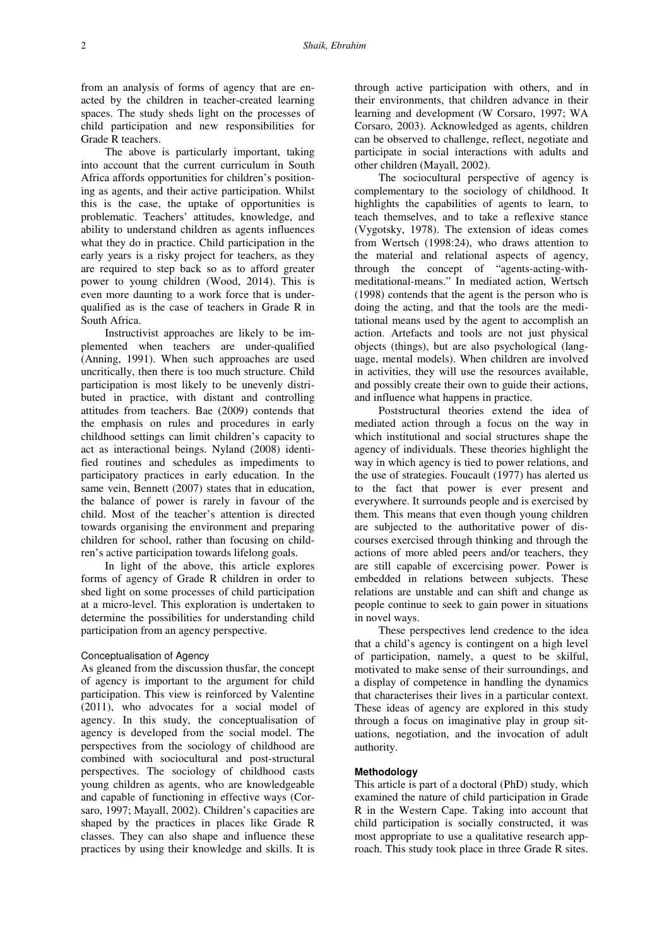from an analysis of forms of agency that are enacted by the children in teacher-created learning spaces. The study sheds light on the processes of child participation and new responsibilities for Grade R teachers.

The above is particularly important, taking into account that the current curriculum in South Africa affords opportunities for children's positioning as agents, and their active participation. Whilst this is the case, the uptake of opportunities is problematic. Teachers' attitudes, knowledge, and ability to understand children as agents influences what they do in practice. Child participation in the early years is a risky project for teachers, as they are required to step back so as to afford greater power to young children (Wood, 2014). This is even more daunting to a work force that is underqualified as is the case of teachers in Grade R in South Africa.

Instructivist approaches are likely to be implemented when teachers are under-qualified (Anning, 1991). When such approaches are used uncritically, then there is too much structure. Child participation is most likely to be unevenly distributed in practice, with distant and controlling attitudes from teachers. Bae (2009) contends that the emphasis on rules and procedures in early childhood settings can limit children's capacity to act as interactional beings. Nyland (2008) identified routines and schedules as impediments to participatory practices in early education. In the same vein, Bennett (2007) states that in education, the balance of power is rarely in favour of the child. Most of the teacher's attention is directed towards organising the environment and preparing children for school, rather than focusing on children's active participation towards lifelong goals.

In light of the above, this article explores forms of agency of Grade R children in order to shed light on some processes of child participation at a micro-level. This exploration is undertaken to determine the possibilities for understanding child participation from an agency perspective.

### Conceptualisation of Agency

As gleaned from the discussion thusfar, the concept of agency is important to the argument for child participation. This view is reinforced by Valentine (2011), who advocates for a social model of agency. In this study, the conceptualisation of agency is developed from the social model. The perspectives from the sociology of childhood are combined with sociocultural and post-structural perspectives. The sociology of childhood casts young children as agents, who are knowledgeable and capable of functioning in effective ways (Corsaro, 1997; Mayall, 2002). Children's capacities are shaped by the practices in places like Grade R classes. They can also shape and influence these practices by using their knowledge and skills. It is through active participation with others, and in their environments, that children advance in their learning and development (W Corsaro, 1997; WA Corsaro, 2003). Acknowledged as agents, children can be observed to challenge, reflect, negotiate and participate in social interactions with adults and other children (Mayall, 2002).

The sociocultural perspective of agency is complementary to the sociology of childhood. It highlights the capabilities of agents to learn, to teach themselves, and to take a reflexive stance (Vygotsky, 1978). The extension of ideas comes from Wertsch (1998:24), who draws attention to the material and relational aspects of agency, through the concept of "agents-acting-withmeditational-means." In mediated action, Wertsch (1998) contends that the agent is the person who is doing the acting, and that the tools are the meditational means used by the agent to accomplish an action. Artefacts and tools are not just physical objects (things), but are also psychological (language, mental models). When children are involved in activities, they will use the resources available, and possibly create their own to guide their actions, and influence what happens in practice.

Poststructural theories extend the idea of mediated action through a focus on the way in which institutional and social structures shape the agency of individuals. These theories highlight the way in which agency is tied to power relations, and the use of strategies. Foucault (1977) has alerted us to the fact that power is ever present and everywhere. It surrounds people and is exercised by them. This means that even though young children are subjected to the authoritative power of discourses exercised through thinking and through the actions of more abled peers and/or teachers, they are still capable of excercising power. Power is embedded in relations between subjects. These relations are unstable and can shift and change as people continue to seek to gain power in situations in novel ways.

These perspectives lend credence to the idea that a child's agency is contingent on a high level of participation, namely, a quest to be skilful, motivated to make sense of their surroundings, and a display of competence in handling the dynamics that characterises their lives in a particular context. These ideas of agency are explored in this study through a focus on imaginative play in group situations, negotiation, and the invocation of adult authority.

### **Methodology**

This article is part of a doctoral (PhD) study, which examined the nature of child participation in Grade R in the Western Cape. Taking into account that child participation is socially constructed, it was most appropriate to use a qualitative research approach. This study took place in three Grade R sites.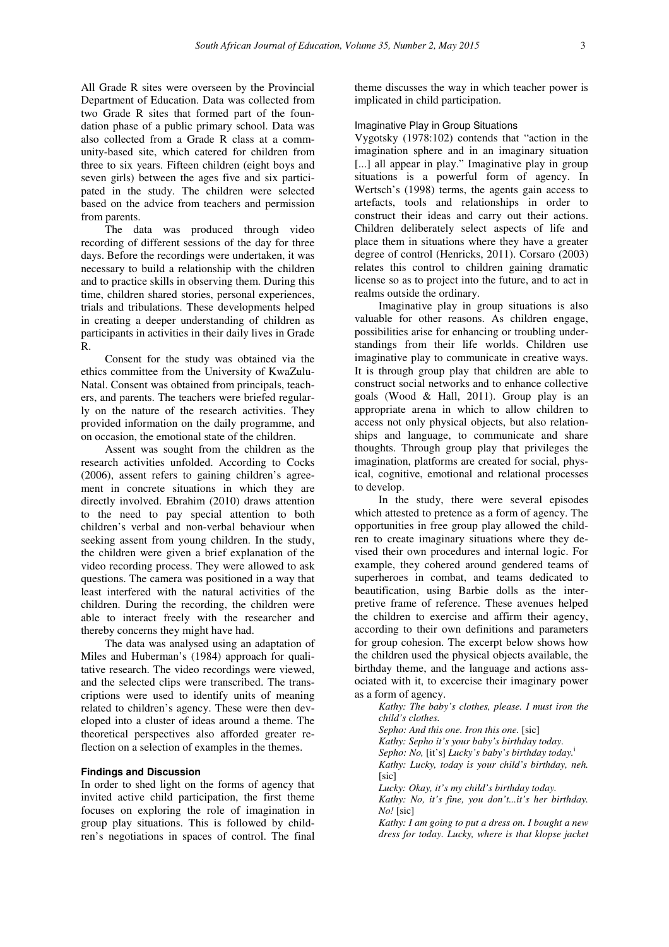All Grade R sites were overseen by the Provincial Department of Education. Data was collected from two Grade R sites that formed part of the foundation phase of a public primary school. Data was also collected from a Grade R class at a community-based site, which catered for children from three to six years. Fifteen children (eight boys and seven girls) between the ages five and six participated in the study. The children were selected based on the advice from teachers and permission from parents.

The data was produced through video recording of different sessions of the day for three days. Before the recordings were undertaken, it was necessary to build a relationship with the children and to practice skills in observing them. During this time, children shared stories, personal experiences, trials and tribulations. These developments helped in creating a deeper understanding of children as participants in activities in their daily lives in Grade R.

Consent for the study was obtained via the ethics committee from the University of KwaZulu-Natal. Consent was obtained from principals, teachers, and parents. The teachers were briefed regularly on the nature of the research activities. They provided information on the daily programme, and on occasion, the emotional state of the children.

Assent was sought from the children as the research activities unfolded. According to Cocks (2006), assent refers to gaining children's agreement in concrete situations in which they are directly involved. Ebrahim (2010) draws attention to the need to pay special attention to both children's verbal and non-verbal behaviour when seeking assent from young children. In the study, the children were given a brief explanation of the video recording process. They were allowed to ask questions. The camera was positioned in a way that least interfered with the natural activities of the children. During the recording, the children were able to interact freely with the researcher and thereby concerns they might have had.

The data was analysed using an adaptation of Miles and Huberman's (1984) approach for qualitative research. The video recordings were viewed, and the selected clips were transcribed. The transcriptions were used to identify units of meaning related to children's agency. These were then developed into a cluster of ideas around a theme. The theoretical perspectives also afforded greater reflection on a selection of examples in the themes.

### **Findings and Discussion**

In order to shed light on the forms of agency that invited active child participation, the first theme focuses on exploring the role of imagination in group play situations. This is followed by children's negotiations in spaces of control. The final

theme discusses the way in which teacher power is implicated in child participation.

Imaginative Play in Group Situations

Vygotsky (1978:102) contends that "action in the imagination sphere and in an imaginary situation [...] all appear in play." Imaginative play in group situations is a powerful form of agency. In Wertsch's (1998) terms, the agents gain access to artefacts, tools and relationships in order to construct their ideas and carry out their actions. Children deliberately select aspects of life and place them in situations where they have a greater degree of control (Henricks, 2011). Corsaro (2003) relates this control to children gaining dramatic license so as to project into the future, and to act in realms outside the ordinary.

Imaginative play in group situations is also valuable for other reasons. As children engage, possibilities arise for enhancing or troubling understandings from their life worlds. Children use imaginative play to communicate in creative ways. It is through group play that children are able to construct social networks and to enhance collective goals (Wood & Hall, 2011). Group play is an appropriate arena in which to allow children to access not only physical objects, but also relationships and language, to communicate and share thoughts. Through group play that privileges the imagination, platforms are created for social, physical, cognitive, emotional and relational processes to develop.

In the study, there were several episodes which attested to pretence as a form of agency. The opportunities in free group play allowed the children to create imaginary situations where they devised their own procedures and internal logic. For example, they cohered around gendered teams of superheroes in combat, and teams dedicated to beautification, using Barbie dolls as the interpretive frame of reference. These avenues helped the children to exercise and affirm their agency, according to their own definitions and parameters for group cohesion. The excerpt below shows how the children used the physical objects available, the birthday theme, and the language and actions associated with it, to excercise their imaginary power as a form of agency.

*Kathy: The baby's clothes, please. I must iron the child's clothes.* 

*Sepho: And this one. Iron this one.* [sic]

*Kathy: Sepho it's your baby's birthday today.* 

*Sepho: No,* [it's] *Lucky's baby's birthday today.*<sup>i</sup>

*Kathy: Lucky, today is your child's birthday, neh.*  [sic]

*Lucky: Okay, it's my child's birthday today.* 

*Kathy: No, it's fine, you don't...it's her birthday. No!* [sic]

*Kathy: I am going to put a dress on. I bought a new dress for today. Lucky, where is that klopse jacket*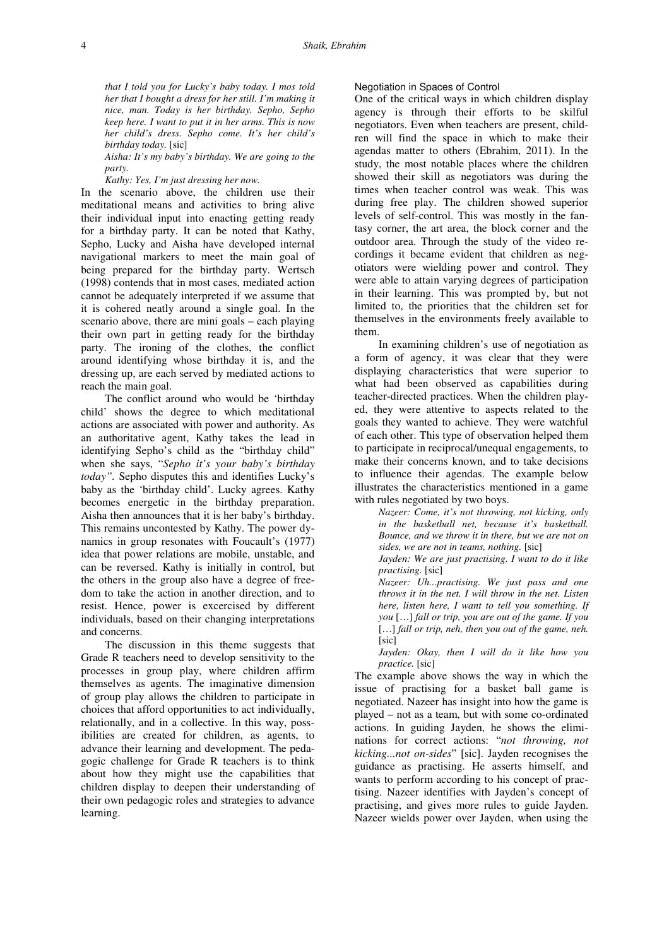*that I told you for Lucky's baby today. I mos told her that I bought a dress for her still. I'm making it nice, man. Today is her birthday. Sepho, Sepho keep here. I want to put it in her arms. This is now her child's dress. Sepho come. It's her child's birthday today.* [sic]

*Aisha: It's my baby's birthday. We are going to the party.* 

*Kathy: Yes, I'm just dressing her now.* 

In the scenario above, the children use their meditational means and activities to bring alive their individual input into enacting getting ready for a birthday party. It can be noted that Kathy, Sepho, Lucky and Aisha have developed internal navigational markers to meet the main goal of being prepared for the birthday party. Wertsch (1998) contends that in most cases, mediated action cannot be adequately interpreted if we assume that it is cohered neatly around a single goal. In the scenario above, there are mini goals – each playing their own part in getting ready for the birthday party. The ironing of the clothes, the conflict around identifying whose birthday it is, and the dressing up, are each served by mediated actions to reach the main goal.

The conflict around who would be 'birthday child' shows the degree to which meditational actions are associated with power and authority. As an authoritative agent, Kathy takes the lead in identifying Sepho's child as the "birthday child" when she says, "*Sepho it's your baby's birthday today".* Sepho disputes this and identifies Lucky's baby as the 'birthday child'. Lucky agrees. Kathy becomes energetic in the birthday preparation. Aisha then announces that it is her baby's birthday. This remains uncontested by Kathy. The power dynamics in group resonates with Foucault's (1977) idea that power relations are mobile, unstable, and can be reversed. Kathy is initially in control, but the others in the group also have a degree of freedom to take the action in another direction, and to resist. Hence, power is excercised by different individuals, based on their changing interpretations and concerns.

The discussion in this theme suggests that Grade R teachers need to develop sensitivity to the processes in group play, where children affirm themselves as agents. The imaginative dimension of group play allows the children to participate in choices that afford opportunities to act individually, relationally, and in a collective. In this way, possibilities are created for children, as agents, to advance their learning and development. The pedagogic challenge for Grade R teachers is to think about how they might use the capabilities that children display to deepen their understanding of their own pedagogic roles and strategies to advance learning.

#### Negotiation in Spaces of Control

One of the critical ways in which children display agency is through their efforts to be skilful negotiators. Even when teachers are present, children will find the space in which to make their agendas matter to others (Ebrahim, 2011). In the study, the most notable places where the children showed their skill as negotiators was during the times when teacher control was weak. This was during free play. The children showed superior levels of self-control. This was mostly in the fantasy corner, the art area, the block corner and the outdoor area. Through the study of the video recordings it became evident that children as negotiators were wielding power and control. They were able to attain varying degrees of participation in their learning. This was prompted by, but not limited to, the priorities that the children set for themselves in the environments freely available to them.

In examining children's use of negotiation as a form of agency, it was clear that they were displaying characteristics that were superior to what had been observed as capabilities during teacher-directed practices. When the children played, they were attentive to aspects related to the goals they wanted to achieve. They were watchful of each other. This type of observation helped them to participate in reciprocal/unequal engagements, to make their concerns known, and to take decisions to influence their agendas. The example below illustrates the characteristics mentioned in a game with rules negotiated by two boys.

*Nazeer: Come, it's not throwing, not kicking, only in the basketball net, because it's basketball. Bounce, and we throw it in there, but we are not on sides, we are not in teams, nothing.* [sic]

*Jayden: We are just practising. I want to do it like practising.* [sic]

*Nazeer: Uh...practising. We just pass and one throws it in the net. I will throw in the net. Listen here, listen here, I want to tell you something. If you* […] *fall or trip, you are out of the game. If you*  [...] fall or trip, neh, then you out of the game, neh. [sic]

*Jayden: Okay, then I will do it like how you practice.* [sic]

The example above shows the way in which the issue of practising for a basket ball game is negotiated. Nazeer has insight into how the game is played – not as a team, but with some co-ordinated actions. In guiding Jayden, he shows the eliminations for correct actions: "*not throwing, not kicking...not on-sides*" [sic]. Jayden recognises the guidance as practising. He asserts himself, and wants to perform according to his concept of practising. Nazeer identifies with Jayden's concept of practising, and gives more rules to guide Jayden. Nazeer wields power over Jayden, when using the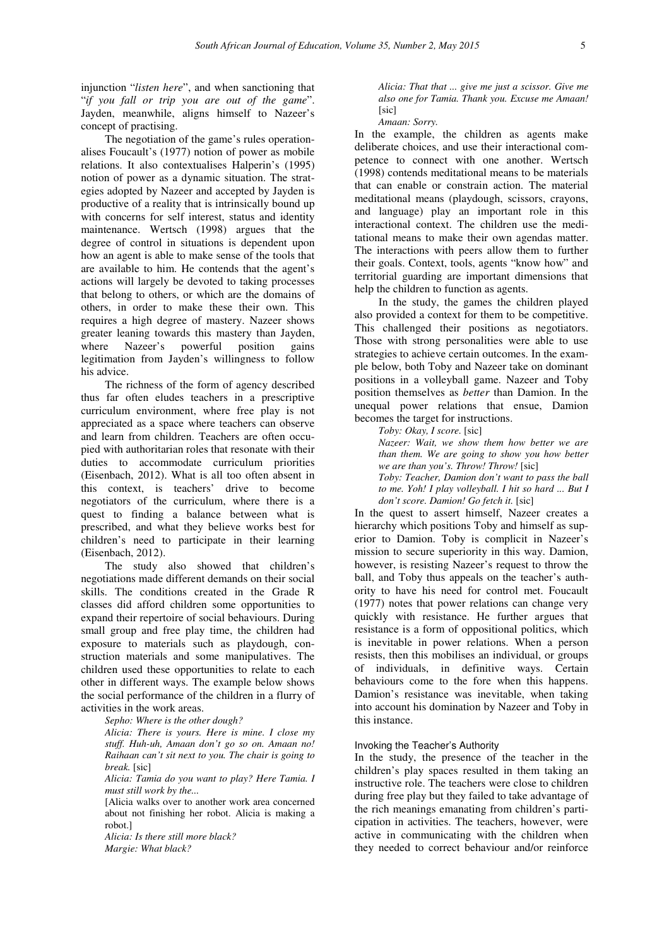injunction "*listen here*", and when sanctioning that "*if you fall or trip you are out of the game*". Jayden, meanwhile, aligns himself to Nazeer's concept of practising.

The negotiation of the game's rules operationalises Foucault's (1977) notion of power as mobile relations. It also contextualises Halperin's (1995) notion of power as a dynamic situation. The strategies adopted by Nazeer and accepted by Jayden is productive of a reality that is intrinsically bound up with concerns for self interest, status and identity maintenance. Wertsch (1998) argues that the degree of control in situations is dependent upon how an agent is able to make sense of the tools that are available to him. He contends that the agent's actions will largely be devoted to taking processes that belong to others, or which are the domains of others, in order to make these their own. This requires a high degree of mastery. Nazeer shows greater leaning towards this mastery than Jayden, where Nazeer's powerful position gains legitimation from Jayden's willingness to follow his advice.

The richness of the form of agency described thus far often eludes teachers in a prescriptive curriculum environment, where free play is not appreciated as a space where teachers can observe and learn from children. Teachers are often occupied with authoritarian roles that resonate with their duties to accommodate curriculum priorities (Eisenbach, 2012). What is all too often absent in this context, is teachers' drive to become negotiators of the curriculum, where there is a quest to finding a balance between what is prescribed, and what they believe works best for children's need to participate in their learning (Eisenbach, 2012).

The study also showed that children's negotiations made different demands on their social skills. The conditions created in the Grade R classes did afford children some opportunities to expand their repertoire of social behaviours. During small group and free play time, the children had exposure to materials such as playdough, construction materials and some manipulatives. The children used these opportunities to relate to each other in different ways. The example below shows the social performance of the children in a flurry of activities in the work areas.

*Sepho: Where is the other dough?* 

*Alicia: There is yours. Here is mine. I close my stuff. Huh-uh, Amaan don't go so on. Amaan no! Raihaan can't sit next to you. The chair is going to break.* [sic]

*Alicia: Tamia do you want to play? Here Tamia. I must still work by the...* 

[Alicia walks over to another work area concerned about not finishing her robot. Alicia is making a robot.]

*Alicia: Is there still more black? Margie: What black?* 

*Alicia: That that ... give me just a scissor. Give me also one for Tamia. Thank you. Excuse me Amaan!*  [sic]

*Amaan: Sorry.* 

In the example, the children as agents make deliberate choices, and use their interactional competence to connect with one another. Wertsch (1998) contends meditational means to be materials that can enable or constrain action. The material meditational means (playdough, scissors, crayons, and language) play an important role in this interactional context. The children use the meditational means to make their own agendas matter. The interactions with peers allow them to further their goals. Context, tools, agents "know how" and territorial guarding are important dimensions that help the children to function as agents.

In the study, the games the children played also provided a context for them to be competitive. This challenged their positions as negotiators. Those with strong personalities were able to use strategies to achieve certain outcomes. In the example below, both Toby and Nazeer take on dominant positions in a volleyball game. Nazeer and Toby position themselves as *better* than Damion. In the unequal power relations that ensue, Damion becomes the target for instructions.

*Toby: Okay, I score.* [sic]

*Nazeer: Wait, we show them how better we are than them. We are going to show you how better we are than you's. Throw! Throw!* [sic] *Toby: Teacher, Damion don't want to pass the ball to me. Yoh! I play volleyball. I hit so hard ... But I don't score. Damion! Go fetch it.* [sic]

In the quest to assert himself, Nazeer creates a hierarchy which positions Toby and himself as superior to Damion. Toby is complicit in Nazeer's mission to secure superiority in this way. Damion, however, is resisting Nazeer's request to throw the ball, and Toby thus appeals on the teacher's authority to have his need for control met. Foucault (1977) notes that power relations can change very quickly with resistance. He further argues that resistance is a form of oppositional politics, which is inevitable in power relations. When a person resists, then this mobilises an individual, or groups of individuals, in definitive ways. Certain behaviours come to the fore when this happens. Damion's resistance was inevitable, when taking into account his domination by Nazeer and Toby in this instance.

## Invoking the Teacher's Authority

In the study, the presence of the teacher in the children's play spaces resulted in them taking an instructive role. The teachers were close to children during free play but they failed to take advantage of the rich meanings emanating from children's participation in activities. The teachers, however, were active in communicating with the children when they needed to correct behaviour and/or reinforce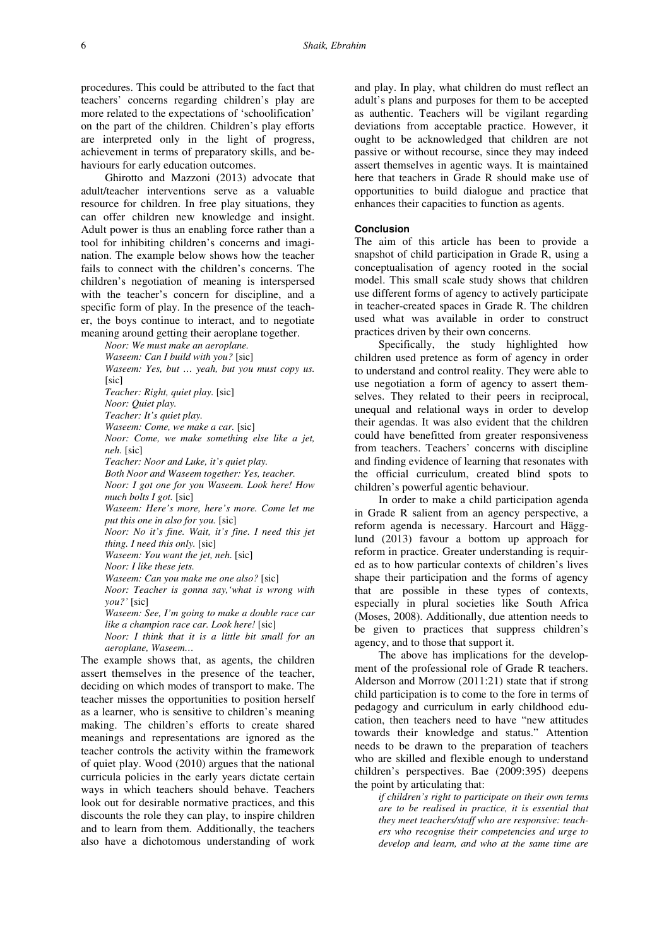procedures. This could be attributed to the fact that teachers' concerns regarding children's play are more related to the expectations of 'schoolification' on the part of the children. Children's play efforts are interpreted only in the light of progress, achievement in terms of preparatory skills, and behaviours for early education outcomes.

Ghirotto and Mazzoni (2013) advocate that adult/teacher interventions serve as a valuable resource for children. In free play situations, they can offer children new knowledge and insight. Adult power is thus an enabling force rather than a tool for inhibiting children's concerns and imagination. The example below shows how the teacher fails to connect with the children's concerns. The children's negotiation of meaning is interspersed with the teacher's concern for discipline, and a specific form of play. In the presence of the teacher, the boys continue to interact, and to negotiate meaning around getting their aeroplane together.

*Noor: We must make an aeroplane. Waseem: Can I build with you?* [sic] *Waseem: Yes, but … yeah, but you must copy us.*  [sic] *Teacher: Right, quiet play.* [sic] *Noor: Quiet play. Teacher: It's quiet play. Waseem: Come, we make a car.* [sic] *Noor: Come, we make something else like a jet, neh.* [sic] *Teacher: Noor and Luke, it's quiet play. Both Noor and Waseem together: Yes, teacher. Noor: I got one for you Waseem. Look here! How much bolts I got.* [sic] *Waseem: Here's more, here's more. Come let me put this one in also for you.* [sic] *Noor: No it's fine. Wait, it's fine. I need this jet thing. I need this only.* [sic] *Waseem: You want the jet, neh.* [sic] *Noor: I like these jets. Waseem: Can you make me one also?* [sic] *Noor: Teacher is gonna say,'what is wrong with you?'* [sic] *Waseem: See, I'm going to make a double race car like a champion race car. Look here!* [sic] *Noor: I think that it is a little bit small for an* 

*aeroplane, Waseem…* 

The example shows that, as agents, the children assert themselves in the presence of the teacher, deciding on which modes of transport to make. The teacher misses the opportunities to position herself as a learner, who is sensitive to children's meaning making. The children's efforts to create shared meanings and representations are ignored as the teacher controls the activity within the framework of quiet play. Wood (2010) argues that the national curricula policies in the early years dictate certain ways in which teachers should behave. Teachers look out for desirable normative practices, and this discounts the role they can play, to inspire children and to learn from them. Additionally, the teachers also have a dichotomous understanding of work and play. In play, what children do must reflect an adult's plans and purposes for them to be accepted as authentic. Teachers will be vigilant regarding deviations from acceptable practice. However, it ought to be acknowledged that children are not passive or without recourse, since they may indeed assert themselves in agentic ways. It is maintained here that teachers in Grade R should make use of opportunities to build dialogue and practice that enhances their capacities to function as agents.

## **Conclusion**

The aim of this article has been to provide a snapshot of child participation in Grade R, using a conceptualisation of agency rooted in the social model. This small scale study shows that children use different forms of agency to actively participate in teacher-created spaces in Grade R. The children used what was available in order to construct practices driven by their own concerns.

Specifically, the study highlighted how children used pretence as form of agency in order to understand and control reality. They were able to use negotiation a form of agency to assert themselves. They related to their peers in reciprocal, unequal and relational ways in order to develop their agendas. It was also evident that the children could have benefitted from greater responsiveness from teachers. Teachers' concerns with discipline and finding evidence of learning that resonates with the official curriculum, created blind spots to children's powerful agentic behaviour.

In order to make a child participation agenda in Grade R salient from an agency perspective, a reform agenda is necessary. Harcourt and Hägglund (2013) favour a bottom up approach for reform in practice. Greater understanding is required as to how particular contexts of children's lives shape their participation and the forms of agency that are possible in these types of contexts, especially in plural societies like South Africa (Moses, 2008). Additionally, due attention needs to be given to practices that suppress children's agency, and to those that support it.

The above has implications for the development of the professional role of Grade R teachers. Alderson and Morrow (2011:21) state that if strong child participation is to come to the fore in terms of pedagogy and curriculum in early childhood education, then teachers need to have "new attitudes towards their knowledge and status." Attention needs to be drawn to the preparation of teachers who are skilled and flexible enough to understand children's perspectives. Bae (2009:395) deepens the point by articulating that:

*if children's right to participate on their own terms are to be realised in practice, it is essential that they meet teachers/staff who are responsive: teachers who recognise their competencies and urge to develop and learn, and who at the same time are*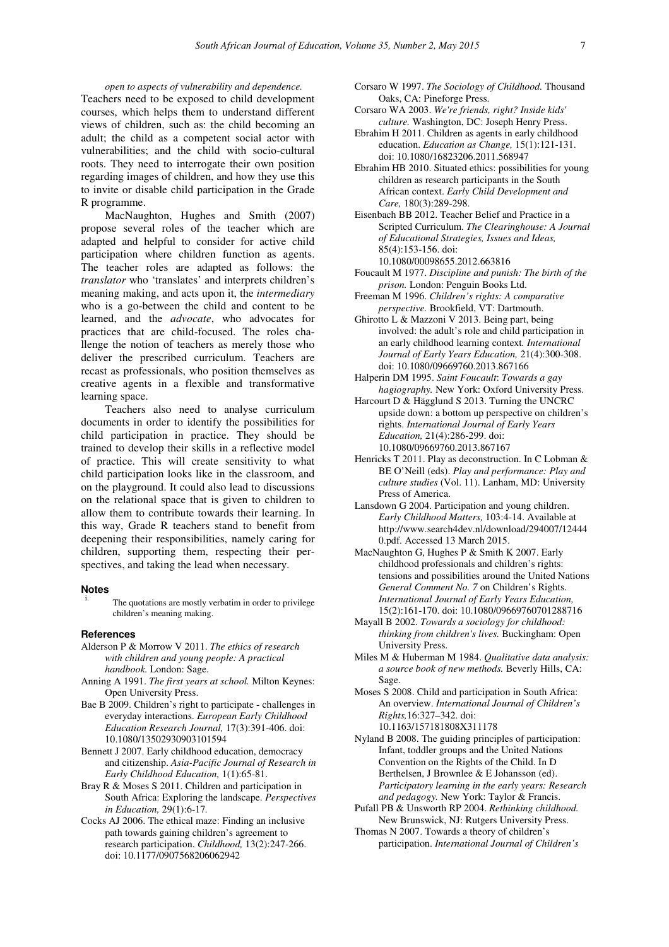*open to aspects of vulnerability and dependence.*  Teachers need to be exposed to child development courses, which helps them to understand different views of children, such as: the child becoming an adult; the child as a competent social actor with vulnerabilities; and the child with socio-cultural roots. They need to interrogate their own position regarding images of children, and how they use this to invite or disable child participation in the Grade R programme.

MacNaughton, Hughes and Smith (2007) propose several roles of the teacher which are adapted and helpful to consider for active child participation where children function as agents. The teacher roles are adapted as follows: the *translator* who 'translates' and interprets children's meaning making, and acts upon it, the *intermediary*  who is a go-between the child and content to be learned, and the *advocate*, who advocates for practices that are child-focused. The roles challenge the notion of teachers as merely those who deliver the prescribed curriculum. Teachers are recast as professionals, who position themselves as creative agents in a flexible and transformative learning space.

Teachers also need to analyse curriculum documents in order to identify the possibilities for child participation in practice. They should be trained to develop their skills in a reflective model of practice. This will create sensitivity to what child participation looks like in the classroom, and on the playground. It could also lead to discussions on the relational space that is given to children to allow them to contribute towards their learning. In this way, Grade R teachers stand to benefit from deepening their responsibilities, namely caring for children, supporting them, respecting their perspectives, and taking the lead when necessary.

#### **Notes**

The quotations are mostly verbatim in order to privilege children's meaning making.

### **References**

- Alderson P & Morrow V 2011. *The ethics of research with children and young people: A practical handbook.* London: Sage.
- Anning A 1991. *The first years at school.* Milton Keynes: Open University Press.
- Bae B 2009. Children's right to participate challenges in everyday interactions. *European Early Childhood Education Research Journal,* 17(3):391-406. doi: 10.1080/13502930903101594
- Bennett J 2007. Early childhood education, democracy and citizenship. *Asia-Pacific Journal of Research in Early Childhood Education,* 1(1):65-81.
- Bray R & Moses S 2011. Children and participation in South Africa: Exploring the landscape. *Perspectives in Education,* 29(1):6-17*.*
- Cocks AJ 2006. The ethical maze: Finding an inclusive path towards gaining children's agreement to research participation. *Childhood,* 13(2):247-266. doi: 10.1177/0907568206062942
- Corsaro W 1997. *The Sociology of Childhood.* Thousand Oaks, CA: Pineforge Press.
- Corsaro WA 2003. *We're friends, right? Inside kids' culture.* Washington, DC: Joseph Henry Press.
- Ebrahim H 2011. Children as agents in early childhood education. *Education as Change,* 15(1):121-131. doi: 10.1080/16823206.2011.568947
- Ebrahim HB 2010. Situated ethics: possibilities for young children as research participants in the South African context. *Early Child Development and Care,* 180(3):289-298.
- Eisenbach BB 2012. Teacher Belief and Practice in a Scripted Curriculum. *The Clearinghouse: A Journal of Educational Strategies, Issues and Ideas,*  85(4):153-156. doi: 10.1080/00098655.2012.663816
- Foucault M 1977. *Discipline and punish: The birth of the prison.* London: Penguin Books Ltd.
- Freeman M 1996. *Children's rights: A comparative perspective.* Brookfield, VT: Dartmouth.
- Ghirotto L & Mazzoni V 2013. Being part, being involved: the adult's role and child participation in an early childhood learning context*. International Journal of Early Years Education,* 21(4):300-308. doi: 10.1080/09669760.2013.867166
- Halperin DM 1995. *Saint Foucault*: *Towards a gay hagiography.* New York: Oxford University Press.
- Harcourt D & Hägglund S 2013. Turning the UNCRC upside down: a bottom up perspective on children's rights. *International Journal of Early Years Education,* 21(4):286-299. doi: 10.1080/09669760.2013.867167
- Henricks T 2011. Play as deconstruction. In C Lobman & BE O'Neill (eds). *Play and performance: Play and culture studies* (Vol. 11). Lanham, MD: University Press of America.
- Lansdown G 2004. Participation and young children. *Early Childhood Matters,* 103:4-14. Available at http://www.search4dev.nl/download/294007/12444 0.pdf. Accessed 13 March 2015.
- MacNaughton G, Hughes P & Smith K 2007. Early childhood professionals and children's rights: tensions and possibilities around the United Nations *General Comment No. 7* on Children's Rights. *International Journal of Early Years Education,*  15(2):161-170. doi: 10.1080/09669760701288716
- Mayall B 2002. *Towards a sociology for childhood: thinking from children's lives.* Buckingham: Open University Press.
- Miles M & Huberman M 1984. *Qualitative data analysis: a source book of new methods.* Beverly Hills, CA: Sage.
- Moses S 2008. Child and participation in South Africa: An overview. *International Journal of Children's Rights,*16:327–342. doi: 10.1163/157181808X311178
- Nyland B 2008. The guiding principles of participation: Infant, toddler groups and the United Nations Convention on the Rights of the Child. In D Berthelsen, J Brownlee & E Johansson (ed). *Participatory learning in the early years: Research and pedagogy.* New York: Taylor & Francis.
- Pufall PB & Unsworth RP 2004. *Rethinking childhood.* New Brunswick, NJ: Rutgers University Press.
- Thomas N 2007. Towards a theory of children's participation. *International Journal of Children's*